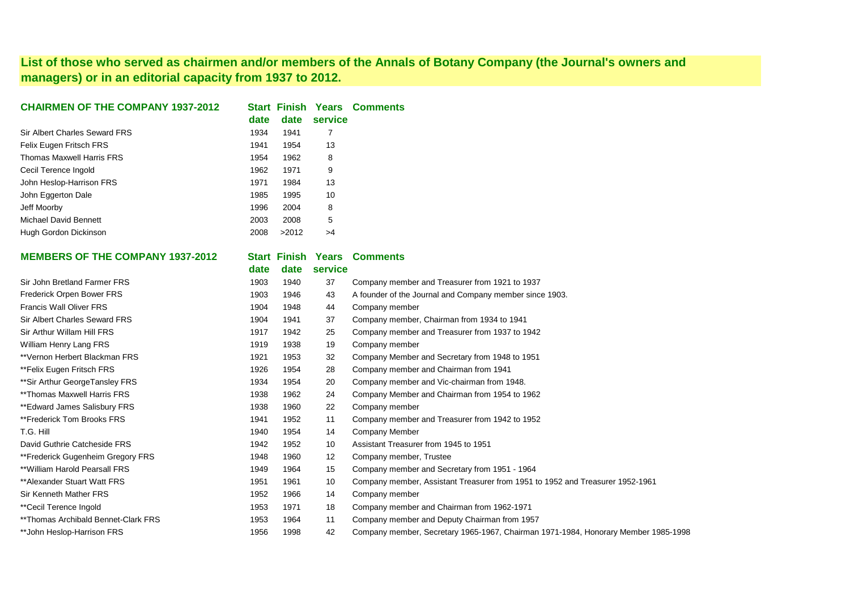# **List of those who served as chairmen and/or members of the Annals of Botany Company (the Journal's owners and managers) or in an editorial capacity from 1937 to 2012.**

| <b>CHAIRMEN OF THE COMPANY 1937-2012</b> | date | date  | service | <b>Start Finish Years Comments</b> |
|------------------------------------------|------|-------|---------|------------------------------------|
| Sir Albert Charles Seward FRS            | 1934 | 1941  | 7       |                                    |
| Felix Eugen Fritsch FRS                  | 1941 | 1954  | 13      |                                    |
| Thomas Maxwell Harris FRS                | 1954 | 1962  | 8       |                                    |
| Cecil Terence Ingold                     | 1962 | 1971  | 9       |                                    |
| John Heslop-Harrison FRS                 | 1971 | 1984  | 13      |                                    |
| John Eggerton Dale                       | 1985 | 1995  | 10      |                                    |
| Jeff Moorby                              | 1996 | 2004  | 8       |                                    |
| <b>Michael David Bennett</b>             | 2003 | 2008  | 5       |                                    |
| Hugh Gordon Dickinson                    | 2008 | >2012 | >4      |                                    |

# **MEMBERS OF THE COMPANY 1937-2012 Start Finish Years Comments**

**date date service**

| Sir John Bretland Farmer FRS        | 1903 | 1940 | 37 | Company member and Treasurer from 1921 to 1937                                     |
|-------------------------------------|------|------|----|------------------------------------------------------------------------------------|
| Frederick Orpen Bower FRS           | 1903 | 1946 | 43 | A founder of the Journal and Company member since 1903.                            |
| <b>Francis Wall Oliver FRS</b>      | 1904 | 1948 | 44 | Company member                                                                     |
| Sir Albert Charles Seward FRS       | 1904 | 1941 | 37 | Company member, Chairman from 1934 to 1941                                         |
| Sir Arthur Willam Hill FRS          | 1917 | 1942 | 25 | Company member and Treasurer from 1937 to 1942                                     |
| William Henry Lang FRS              | 1919 | 1938 | 19 | Company member                                                                     |
| **Vernon Herbert Blackman FRS       | 1921 | 1953 | 32 | Company Member and Secretary from 1948 to 1951                                     |
| **Felix Eugen Fritsch FRS           | 1926 | 1954 | 28 | Company member and Chairman from 1941                                              |
| ** Sir Arthur George Tansley FRS    | 1934 | 1954 | 20 | Company member and Vic-chairman from 1948.                                         |
| **Thomas Maxwell Harris FRS         | 1938 | 1962 | 24 | Company Member and Chairman from 1954 to 1962                                      |
| **Edward James Salisbury FRS        | 1938 | 1960 | 22 | Company member                                                                     |
| **Frederick Tom Brooks FRS          | 1941 | 1952 | 11 | Company member and Treasurer from 1942 to 1952                                     |
| T.G. Hill                           | 1940 | 1954 | 14 | Company Member                                                                     |
| David Guthrie Catcheside FRS        | 1942 | 1952 | 10 | Assistant Treasurer from 1945 to 1951                                              |
| **Frederick Gugenheim Gregory FRS   | 1948 | 1960 | 12 | Company member, Trustee                                                            |
| **William Harold Pearsall FRS       | 1949 | 1964 | 15 | Company member and Secretary from 1951 - 1964                                      |
| **Alexander Stuart Watt FRS         | 1951 | 1961 | 10 | Company member, Assistant Treasurer from 1951 to 1952 and Treasurer 1952-1961      |
| Sir Kenneth Mather FRS              | 1952 | 1966 | 14 | Company member                                                                     |
| **Cecil Terence Ingold              | 1953 | 1971 | 18 | Company member and Chairman from 1962-1971                                         |
| **Thomas Archibald Bennet-Clark FRS | 1953 | 1964 | 11 | Company member and Deputy Chairman from 1957                                       |
| **John Heslop-Harrison FRS          | 1956 | 1998 | 42 | Company member, Secretary 1965-1967, Chairman 1971-1984, Honorary Member 1985-1998 |
|                                     |      |      |    |                                                                                    |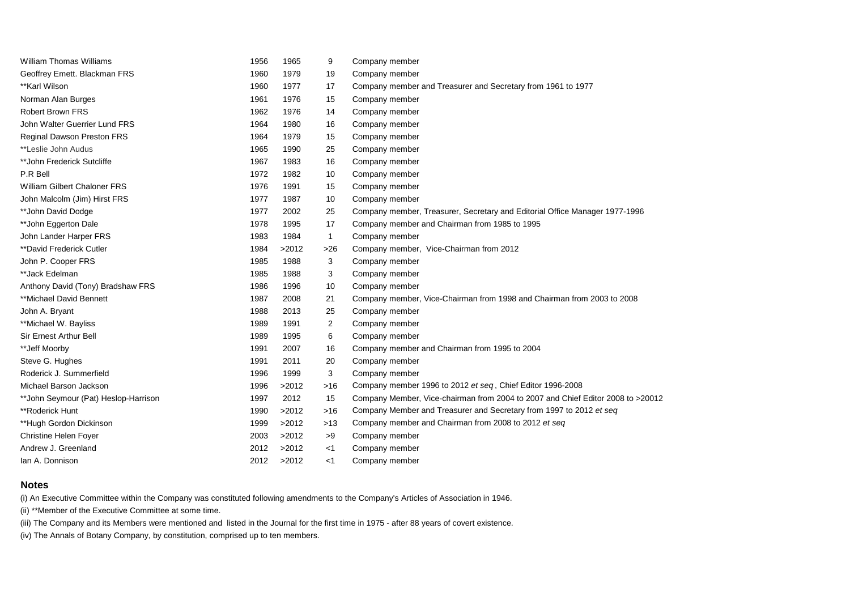| <b>William Thomas Williams</b>        | 1956 | 1965  | 9            | Company member                                                                  |
|---------------------------------------|------|-------|--------------|---------------------------------------------------------------------------------|
| Geoffrey Emett. Blackman FRS          | 1960 | 1979  | 19           | Company member                                                                  |
| **Karl Wilson                         | 1960 | 1977  | 17           | Company member and Treasurer and Secretary from 1961 to 1977                    |
| Norman Alan Burges                    | 1961 | 1976  | 15           | Company member                                                                  |
| <b>Robert Brown FRS</b>               | 1962 | 1976  | 14           | Company member                                                                  |
| John Walter Guerrier Lund FRS         | 1964 | 1980  | 16           | Company member                                                                  |
| Reginal Dawson Preston FRS            | 1964 | 1979  | 15           | Company member                                                                  |
| **Leslie John Audus                   | 1965 | 1990  | 25           | Company member                                                                  |
| ** John Frederick Sutcliffe           | 1967 | 1983  | 16           | Company member                                                                  |
| P.R Bell                              | 1972 | 1982  | 10           | Company member                                                                  |
| William Gilbert Chaloner FRS          | 1976 | 1991  | 15           | Company member                                                                  |
| John Malcolm (Jim) Hirst FRS          | 1977 | 1987  | 10           | Company member                                                                  |
| **John David Dodge                    | 1977 | 2002  | 25           | Company member, Treasurer, Secretary and Editorial Office Manager 1977-1996     |
| **John Eggerton Dale                  | 1978 | 1995  | 17           | Company member and Chairman from 1985 to 1995                                   |
| John Lander Harper FRS                | 1983 | 1984  | $\mathbf{1}$ | Company member                                                                  |
| **David Frederick Cutler              | 1984 | >2012 | $>26$        | Company member, Vice-Chairman from 2012                                         |
| John P. Cooper FRS                    | 1985 | 1988  | 3            | Company member                                                                  |
| **Jack Edelman                        | 1985 | 1988  | 3            | Company member                                                                  |
| Anthony David (Tony) Bradshaw FRS     | 1986 | 1996  | 10           | Company member                                                                  |
| **Michael David Bennett               | 1987 | 2008  | 21           | Company member, Vice-Chairman from 1998 and Chairman from 2003 to 2008          |
| John A. Bryant                        | 1988 | 2013  | 25           | Company member                                                                  |
| **Michael W. Bayliss                  | 1989 | 1991  | 2            | Company member                                                                  |
| <b>Sir Ernest Arthur Bell</b>         | 1989 | 1995  | 6            | Company member                                                                  |
| **Jeff Moorby                         | 1991 | 2007  | 16           | Company member and Chairman from 1995 to 2004                                   |
| Steve G. Hughes                       | 1991 | 2011  | 20           | Company member                                                                  |
| Roderick J. Summerfield               | 1996 | 1999  | 3            | Company member                                                                  |
| Michael Barson Jackson                | 1996 | >2012 | $>16$        | Company member 1996 to 2012 et seq, Chief Editor 1996-2008                      |
| ** John Seymour (Pat) Heslop-Harrison | 1997 | 2012  | 15           | Company Member, Vice-chairman from 2004 to 2007 and Chief Editor 2008 to >20012 |
| **Roderick Hunt                       | 1990 | >2012 | $>16$        | Company Member and Treasurer and Secretary from 1997 to 2012 et seq             |
| **Hugh Gordon Dickinson               | 1999 | >2012 | $>13$        | Company member and Chairman from 2008 to 2012 et seq                            |
| Christine Helen Foyer                 | 2003 | >2012 | >9           | Company member                                                                  |
| Andrew J. Greenland                   | 2012 | >2012 | $<$ 1        | Company member                                                                  |
| Ian A. Donnison                       | 2012 | >2012 | $<$ 1        | Company member                                                                  |

## **Notes**

(i) An Executive Committee within the Company was constituted following amendments to the Company's Articles of Association in 1946.

(ii) \*\*Member of the Executive Committee at some time.

(iii) The Company and its Members were mentioned and listed in the Journal for the first time in 1975 - after 88 years of covert existence.

(iv) The Annals of Botany Company, by constitution, comprised up to ten members.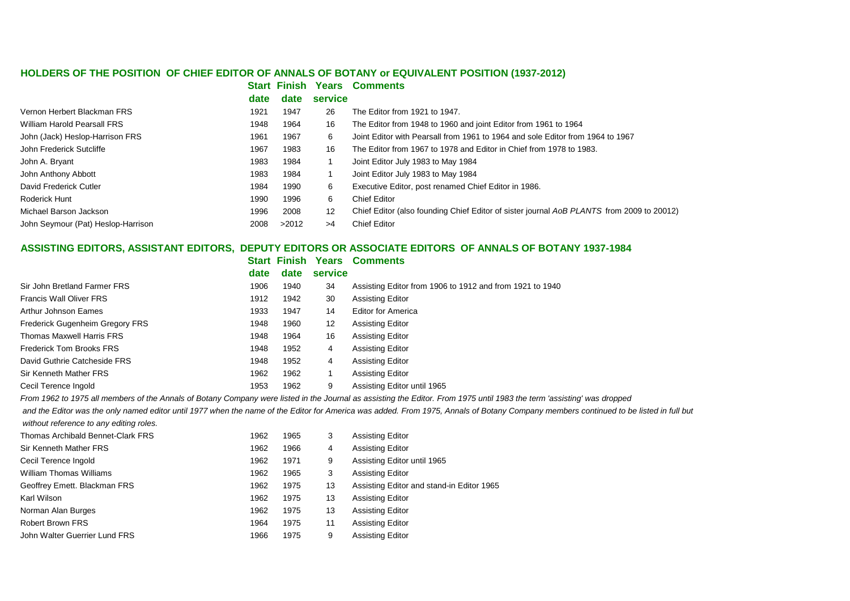# **HOLDERS OF THE POSITION OF CHIEF EDITOR OF ANNALS OF BOTANY or EQUIVALENT POSITION (1937-2012)**

**Start Finish Years Comments date date service** Vernon Herbert Blackman FRS 1921 1947 26 The Editor from 1921 to 1947. William Harold Pearsall FRS 1964 1964 1964 1964 1964 16 The Editor from 1948 to 1960 and joint Editor from 1961 to 1964 John (Jack) Heslop-Harrison FRS 1967 1961 1967 6 Joint Editor with Pearsall from 1961 to 1964 and sole Editor from 1964 to 1967 John Frederick Sutcliffe 1978 to 1983 1967 1983 16 The Editor from 1967 to 1978 and Editor in Chief from 1978 to 1983. John A. Bryant 1984 1984 1984 1985 1984 1983 to May 1984 John Anthony Abbott 1984 1984 1984 1985 1984 1 Joint Editor July 1983 to May 1984 David Frederick Cutler 1986.<br>
1984 1990 6 Executive Editor, post renamed Chief Editor in 1986. Roderick Hunt 1990 1996 6 Chief Editor Michael Barson Jackson 1996 2008 12 Chief Editor (also founding Chief Editor of sister journal *AoB PLANTS* from 2009 to 20012) John Seymour (Pat) Heslop-Harrison 2008 >2012 >4 Chief Editor

# **ASSISTING EDITORS, ASSISTANT EDITORS, DEPUTY EDITORS OR ASSOCIATE EDITORS OF ANNALS OF BOTANY 1937-1984**

|                                         |      | <b>Start Finish</b> | Years   | <b>Comments</b>                                                                                                                                                                       |
|-----------------------------------------|------|---------------------|---------|---------------------------------------------------------------------------------------------------------------------------------------------------------------------------------------|
|                                         | date | date                | service |                                                                                                                                                                                       |
| Sir John Bretland Farmer FRS            | 1906 | 1940                | 34      | Assisting Editor from 1906 to 1912 and from 1921 to 1940                                                                                                                              |
| <b>Francis Wall Oliver FRS</b>          | 1912 | 1942                | 30      | <b>Assisting Editor</b>                                                                                                                                                               |
| Arthur Johnson Eames                    | 1933 | 1947                | 14      | <b>Editor for America</b>                                                                                                                                                             |
| Frederick Gugenheim Gregory FRS         | 1948 | 1960                | 12      | <b>Assisting Editor</b>                                                                                                                                                               |
| <b>Thomas Maxwell Harris FRS</b>        | 1948 | 1964                | 16      | <b>Assisting Editor</b>                                                                                                                                                               |
| <b>Frederick Tom Brooks FRS</b>         | 1948 | 1952                | 4       | <b>Assisting Editor</b>                                                                                                                                                               |
| David Guthrie Catcheside FRS            | 1948 | 1952                | 4       | <b>Assisting Editor</b>                                                                                                                                                               |
| Sir Kenneth Mather FRS                  | 1962 | 1962                | 1       | <b>Assisting Editor</b>                                                                                                                                                               |
| Cecil Terence Ingold                    | 1953 | 1962                | 9       | Assisting Editor until 1965                                                                                                                                                           |
|                                         |      |                     |         | From 1962 to 1975 all members of the Annals of Botany Company were listed in the Journal as assisting the Editor. From 1975 until 1983 the term 'assisting' was dropped               |
|                                         |      |                     |         | and the Editor was the only named editor until 1977 when the name of the Editor for America was added. From 1975, Annals of Botany Company members continued to be listed in full but |
| without reference to any editing roles. |      |                     |         |                                                                                                                                                                                       |
| Thomas Archibald Bennet-Clark FRS       | 1962 | 1965                | 3       | <b>Assisting Editor</b>                                                                                                                                                               |
| Sir Kenneth Mather FRS                  | 1962 | 1966                | 4       | <b>Assisting Editor</b>                                                                                                                                                               |
| Cecil Terence Ingold                    | 1962 | 1971                | 9       | Assisting Editor until 1965                                                                                                                                                           |
| <b>William Thomas Williams</b>          | 1962 | 1965                | 3       | <b>Assisting Editor</b>                                                                                                                                                               |
| Geoffrey Emett. Blackman FRS            | 1962 | 1975                | 13      | Assisting Editor and stand-in Editor 1965                                                                                                                                             |
| Karl Wilson                             | 1962 | 1975                | 13      | <b>Assisting Editor</b>                                                                                                                                                               |
| Norman Alan Burges                      | 1962 | 1975                | 13      | <b>Assisting Editor</b>                                                                                                                                                               |
| <b>Robert Brown FRS</b>                 | 1964 | 1975                | 11      | <b>Assisting Editor</b>                                                                                                                                                               |
| John Walter Guerrier Lund FRS           | 1966 | 1975                | 9       | <b>Assisting Editor</b>                                                                                                                                                               |
|                                         |      |                     |         |                                                                                                                                                                                       |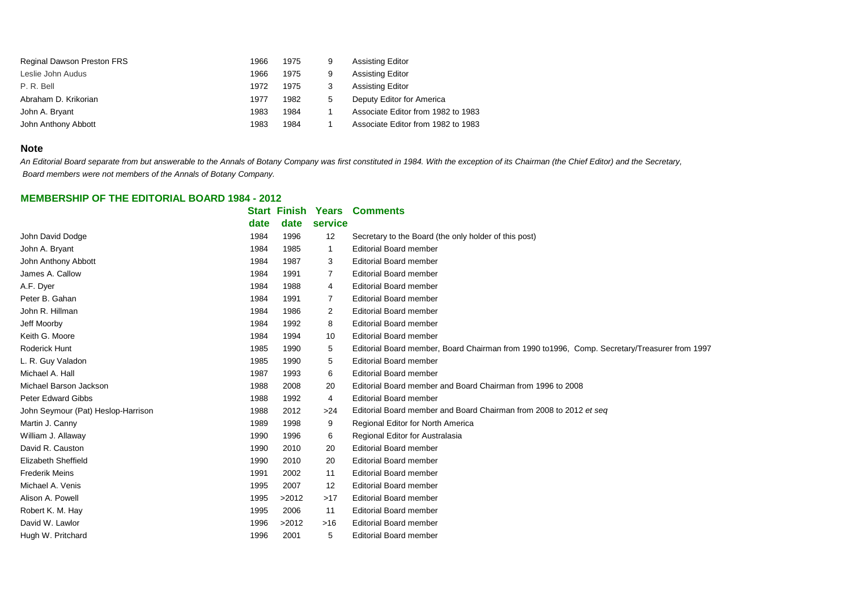| Reginal Dawson Preston FRS | 1966 | 1975 | 9 | Assisting Editor                   |
|----------------------------|------|------|---|------------------------------------|
| Leslie John Audus          | 1966 | 1975 | 9 | Assisting Editor                   |
| P. R. Bell                 | 1972 | 1975 |   | Assisting Editor                   |
| Abraham D. Krikorian       | 1977 | 1982 | 5 | Deputy Editor for America          |
| John A. Bryant             | 1983 | 1984 |   | Associate Editor from 1982 to 1983 |
| John Anthony Abbott        | 1983 | 1984 |   | Associate Editor from 1982 to 1983 |

### **Note**

*An Editorial Board separate from but answerable to the Annals of Botany Company was first constituted in 1984. With the exception of its Chairman (the Chief Editor) and the Secretary, Board members were not members of the Annals of Botany Company.* 

# **MEMBERSHIP OF THE EDITORIAL BOARD 1984 - 2012**

|                                    | date | <b>Start Finish</b><br>date | Years<br>service | <b>Comments</b>                                                                               |
|------------------------------------|------|-----------------------------|------------------|-----------------------------------------------------------------------------------------------|
| John David Dodge                   | 1984 | 1996                        | 12               | Secretary to the Board (the only holder of this post)                                         |
| John A. Bryant                     | 1984 | 1985                        | 1                | <b>Editorial Board member</b>                                                                 |
| John Anthony Abbott                | 1984 | 1987                        | 3                | <b>Editorial Board member</b>                                                                 |
| James A. Callow                    | 1984 | 1991                        | 7                | <b>Editorial Board member</b>                                                                 |
| A.F. Dyer                          | 1984 | 1988                        | 4                | <b>Editorial Board member</b>                                                                 |
| Peter B. Gahan                     | 1984 | 1991                        | 7                | <b>Editorial Board member</b>                                                                 |
| John R. Hillman                    | 1984 | 1986                        | 2                | <b>Editorial Board member</b>                                                                 |
| Jeff Moorby                        | 1984 | 1992                        | 8                | <b>Editorial Board member</b>                                                                 |
| Keith G. Moore                     | 1984 | 1994                        | 10               | <b>Editorial Board member</b>                                                                 |
| Roderick Hunt                      | 1985 | 1990                        | 5                | Editorial Board member, Board Chairman from 1990 to 1996, Comp. Secretary/Treasurer from 1997 |
| L. R. Guy Valadon                  | 1985 | 1990                        | 5                | <b>Editorial Board member</b>                                                                 |
| Michael A. Hall                    | 1987 | 1993                        | 6                | <b>Editorial Board member</b>                                                                 |
| Michael Barson Jackson             | 1988 | 2008                        | 20               | Editorial Board member and Board Chairman from 1996 to 2008                                   |
| <b>Peter Edward Gibbs</b>          | 1988 | 1992                        | 4                | Editorial Board member                                                                        |
| John Seymour (Pat) Heslop-Harrison | 1988 | 2012                        | >24              | Editorial Board member and Board Chairman from 2008 to 2012 et seg                            |
| Martin J. Canny                    | 1989 | 1998                        | 9                | Regional Editor for North America                                                             |
| William J. Allaway                 | 1990 | 1996                        | 6                | Regional Editor for Australasia                                                               |
| David R. Causton                   | 1990 | 2010                        | 20               | <b>Editorial Board member</b>                                                                 |
| Elizabeth Sheffield                | 1990 | 2010                        | 20               | <b>Editorial Board member</b>                                                                 |
| <b>Frederik Meins</b>              | 1991 | 2002                        | 11               | <b>Editorial Board member</b>                                                                 |
| Michael A. Venis                   | 1995 | 2007                        | 12               | <b>Editorial Board member</b>                                                                 |
| Alison A. Powell                   | 1995 | >2012                       | >17              | <b>Editorial Board member</b>                                                                 |
| Robert K. M. Hay                   | 1995 | 2006                        | 11               | <b>Editorial Board member</b>                                                                 |
| David W. Lawlor                    | 1996 | >2012                       | $>16$            | <b>Editorial Board member</b>                                                                 |
| Hugh W. Pritchard                  | 1996 | 2001                        | 5                | <b>Editorial Board member</b>                                                                 |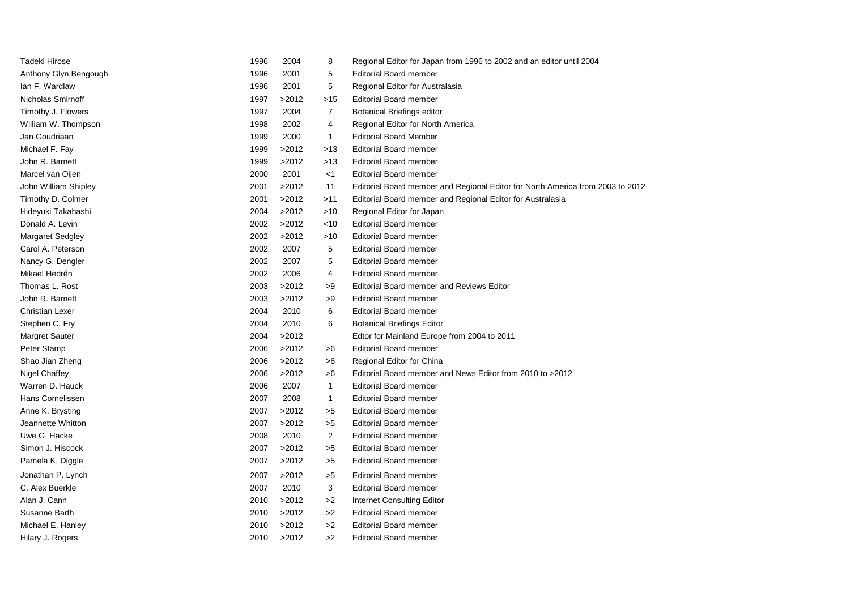| 1996 | 2004  | 8              | Regional Editor for Japan from 1996 to 2002 and an editor until 2004           |
|------|-------|----------------|--------------------------------------------------------------------------------|
| 1996 | 2001  | 5              | <b>Editorial Board member</b>                                                  |
| 1996 | 2001  | 5              | Regional Editor for Australasia                                                |
| 1997 | >2012 | $>15$          | <b>Editorial Board member</b>                                                  |
| 1997 | 2004  | $\overline{7}$ | <b>Botanical Briefings editor</b>                                              |
| 1998 | 2002  | 4              | Regional Editor for North America                                              |
| 1999 | 2000  | $\mathbf{1}$   | <b>Editorial Board Member</b>                                                  |
| 1999 | >2012 | >13            | <b>Editorial Board member</b>                                                  |
| 1999 | >2012 | >13            | <b>Editorial Board member</b>                                                  |
| 2000 | 2001  | $<$ 1          | <b>Editorial Board member</b>                                                  |
| 2001 | >2012 | 11             | Editorial Board member and Regional Editor for North America from 2003 to 2012 |
| 2001 | >2012 | >11            | Editorial Board member and Regional Editor for Australasia                     |
| 2004 | >2012 | >10            | Regional Editor for Japan                                                      |
| 2002 | >2012 | $<$ 10         | <b>Editorial Board member</b>                                                  |
| 2002 | >2012 | >10            | <b>Editorial Board member</b>                                                  |
| 2002 | 2007  | 5              | <b>Editorial Board member</b>                                                  |
| 2002 | 2007  | 5              | <b>Editorial Board member</b>                                                  |
| 2002 | 2006  | 4              | <b>Editorial Board member</b>                                                  |
| 2003 | >2012 | >9             | <b>Editorial Board member and Reviews Editor</b>                               |
| 2003 | >2012 | >9             | <b>Editorial Board member</b>                                                  |
| 2004 | 2010  | 6              | <b>Editorial Board member</b>                                                  |
| 2004 | 2010  | 6              | <b>Botanical Briefings Editor</b>                                              |
| 2004 | >2012 |                | Edtor for Mainland Europe from 2004 to 2011                                    |
| 2006 | >2012 | >6             | <b>Editorial Board member</b>                                                  |
| 2006 | >2012 | >6             | Regional Editor for China                                                      |
| 2006 | >2012 | >6             | Editorial Board member and News Editor from 2010 to >2012                      |
| 2006 | 2007  | $\mathbf{1}$   | <b>Editorial Board member</b>                                                  |
| 2007 | 2008  | $\mathbf{1}$   | <b>Editorial Board member</b>                                                  |
| 2007 | >2012 | >5             | <b>Editorial Board member</b>                                                  |
| 2007 | >2012 | >5             | <b>Editorial Board member</b>                                                  |
| 2008 | 2010  | $\overline{2}$ | <b>Editorial Board member</b>                                                  |
| 2007 | >2012 | >5             | <b>Editorial Board member</b>                                                  |
| 2007 | >2012 | >5             | <b>Editorial Board member</b>                                                  |
| 2007 | >2012 | >5             | <b>Editorial Board member</b>                                                  |
| 2007 | 2010  | 3              | <b>Editorial Board member</b>                                                  |
| 2010 | >2012 | >2             | Internet Consulting Editor                                                     |
| 2010 | >2012 | >2             | <b>Editorial Board member</b>                                                  |
| 2010 | >2012 | >2             | <b>Editorial Board member</b>                                                  |
| 2010 | >2012 | >2             | <b>Editorial Board member</b>                                                  |
|      |       |                |                                                                                |